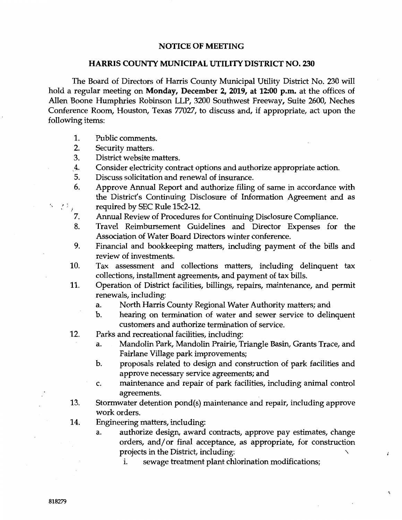## NOTICE OF MEETING

## HARRIS COUNTY MUNICIPAL UTILITY DISTRICT NO. 230

The Board of Directors of Harris County Municipal Utility District No. 230 will hold a regular meeting on Monday, December 2, 2019, at 12:00 p.m. at the offices of Allen Boone Humphries Robinson LLP, 3200 Southwest Freeway, Suite 2600, Neches Conference Room, Houston, Texas 77027, to discuss and, if appropriate, act upon the following items:

- 1. Public comments.
- 2. Security matters.
- 3. District website matters.
- . 4. Consider electricity contract options and authorize appropriate action.
- 5. Discuss solicitation and renewal of insurance.
- 6. Approve Annual Report and authorize filing of same in accordance with the District's Continuing Disclosure of Information Agreement and as required by SEC Rule 15c2-12.
- 7. Annual Review of Procedures for Continuing Disclosure Compliance.
- 8. Travel Reimbursement Guidelines and Director Expenses for the Association of Water Board Directors winter conference.
- 9. Financial and bookkeeping matters, including payment of the bills and review of investments.
- 10. Tax assessment and collections matters, including delinquent tax collections, installment agreements, and payment of tax bills.
- 11. Operation of District facilities, billings, repairs, maintenance, and permit renewals, including:
	- a. North Harris County Regional Water Authority matters; and
	- b. hearing on termination of water and sewer service to delinquent customers and authorize termination of service.
- 12. Parks and recreational facilities, including:
	- a. Mandolin Park, Mandolin Prairie, Triangle Basin, Grants Trace, and Fairlane Village park improvements;
	- b. proposals related to design and construction of park facilities and approve necessary service agreements; and
	- c. maintenance and repair of park facilities, including animal control agreements.
- 13. Stormwater detention pond(s) maintenance and repair, including approve work orders.
- 14. Engineering matters, including:
	- a. authorize design, award contracts, approve pay estimates, change orders, and/ or final acceptance, as appropriate, for construction projects in the District, including:

 $\ddot{\epsilon}$ 

 $\mathcal{O}$ 

1. sewage treatment plant chlorination modifications;

 $\sim$  ,  $\sim$   $\sim$